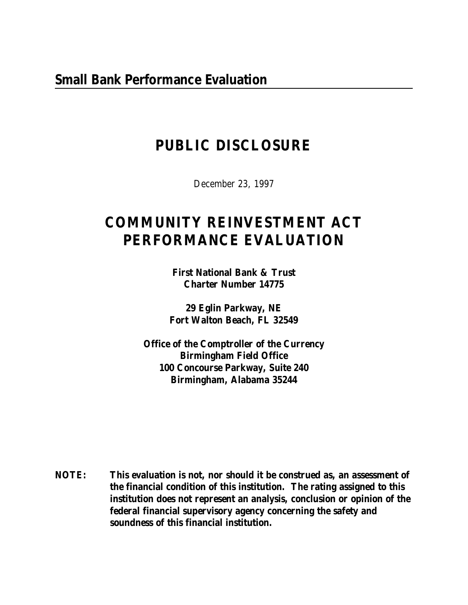## **PUBLIC DISCLOSURE**

December 23, 1997

# **COMMUNITY REINVESTMENT ACT PERFORMANCE EVALUATION**

**First National Bank & Trust Charter Number 14775**

**29 Eglin Parkway, NE Fort Walton Beach, FL 32549**

**Office of the Comptroller of the Currency Birmingham Field Office 100 Concourse Parkway, Suite 240 Birmingham, Alabama 35244**

**NOTE: This evaluation is not, nor should it be construed as, an assessment of the financial condition of this institution. The rating assigned to this institution does not represent an analysis, conclusion or opinion of the federal financial supervisory agency concerning the safety and soundness of this financial institution.**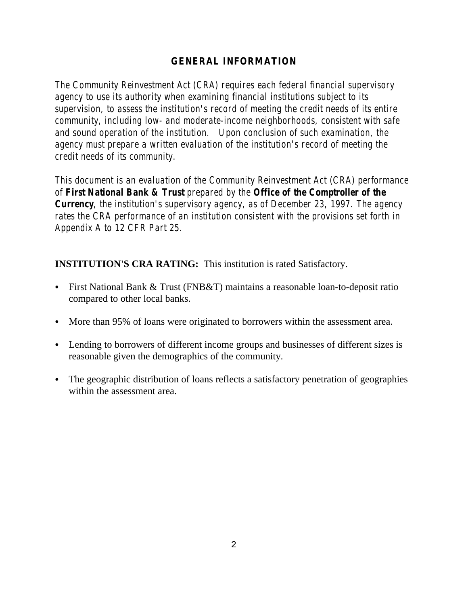## **GENERAL INFORMATION**

*The Community Reinvestment Act (CRA) requires each federal financial supervisory agency to use its authority when examining financial institutions subject to its supervision, to assess the institution's record of meeting the credit needs of its entire community, including low- and moderate-income neighborhoods, consistent with safe and sound operation of the institution. Upon conclusion of such examination, the agency must prepare a written evaluation of the institution's record of meeting the credit needs of its community.* 

*This document is an evaluation of the Community Reinvestment Act (CRA) performance of First National Bank & Trust prepared by the Office of the Comptroller of the Currency, the institution's supervisory agency, as of December 23, 1997. The agency rates the CRA performance of an institution consistent with the provisions set forth in Appendix A to 12 CFR Part 25.*

## **INSTITUTION'S CRA RATING:** This institution is rated **Satisfactory**.

- First National Bank & Trust (FNB&T) maintains a reasonable loan-to-deposit ratio compared to other local banks.
- More than 95% of loans were originated to borrowers within the assessment area.
- Lending to borrowers of different income groups and businesses of different sizes is reasonable given the demographics of the community.
- The geographic distribution of loans reflects a satisfactory penetration of geographies within the assessment area.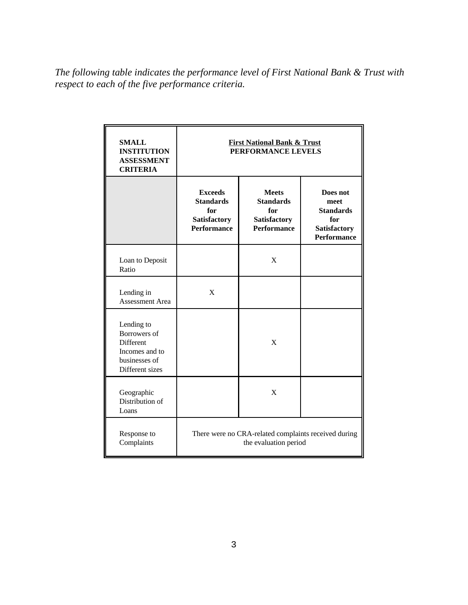*The following table indicates the performance level of First National Bank & Trust with respect to each of the five performance criteria.*

| <b>SMALL</b><br><b>INSTITUTION</b><br><b>ASSESSMENT</b><br><b>CRITERIA</b>                    | <b>First National Bank &amp; Trust</b><br>PERFORMANCE LEVELS                           |                                                                                      |                                                                                          |  |  |
|-----------------------------------------------------------------------------------------------|----------------------------------------------------------------------------------------|--------------------------------------------------------------------------------------|------------------------------------------------------------------------------------------|--|--|
|                                                                                               | <b>Exceeds</b><br><b>Standards</b><br>for<br><b>Satisfactory</b><br><b>Performance</b> | <b>Meets</b><br><b>Standards</b><br>for<br><b>Satisfactory</b><br><b>Performance</b> | Does not<br>meet<br><b>Standards</b><br>for<br><b>Satisfactory</b><br><b>Performance</b> |  |  |
| Loan to Deposit<br>Ratio                                                                      |                                                                                        | X                                                                                    |                                                                                          |  |  |
| Lending in<br><b>Assessment Area</b>                                                          | X                                                                                      |                                                                                      |                                                                                          |  |  |
| Lending to<br>Borrowers of<br>Different<br>Incomes and to<br>businesses of<br>Different sizes |                                                                                        | X                                                                                    |                                                                                          |  |  |
| Geographic<br>Distribution of<br>Loans                                                        |                                                                                        | X                                                                                    |                                                                                          |  |  |
| Response to<br>Complaints                                                                     | There were no CRA-related complaints received during<br>the evaluation period          |                                                                                      |                                                                                          |  |  |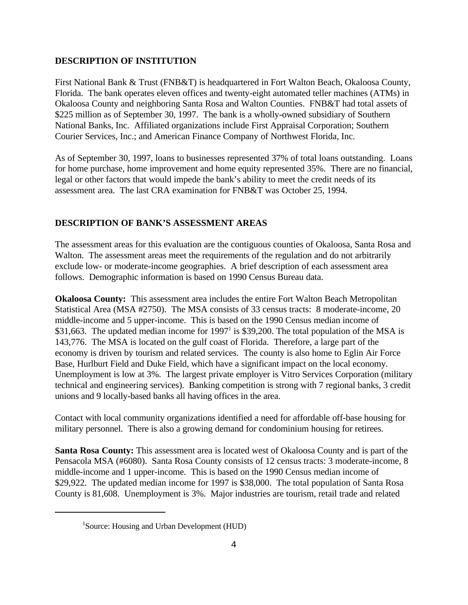#### **DESCRIPTION OF INSTITUTION**

First National Bank & Trust (FNB&T) is headquartered in Fort Walton Beach, Okaloosa County, Florida. The bank operates eleven offices and twenty-eight automated teller machines (ATMs) in Okaloosa County and neighboring Santa Rosa and Walton Counties. FNB&T had total assets of \$225 million as of September 30, 1997. The bank is a wholly-owned subsidiary of Southern National Banks, Inc. Affiliated organizations include First Appraisal Corporation; Southern Courier Services, Inc.; and American Finance Company of Northwest Florida, Inc.

As of September 30, 1997, loans to businesses represented 37% of total loans outstanding. Loans for home purchase, home improvement and home equity represented 35%. There are no financial, legal or other factors that would impede the bank's ability to meet the credit needs of its assessment area. The last CRA examination for FNB&T was October 25, 1994.

### **DESCRIPTION OF BANK'S ASSESSMENT AREAS**

The assessment areas for this evaluation are the contiguous counties of Okaloosa, Santa Rosa and Walton. The assessment areas meet the requirements of the regulation and do not arbitrarily exclude low- or moderate-income geographies. A brief description of each assessment area follows. Demographic information is based on 1990 Census Bureau data.

**Okaloosa County:** This assessment area includes the entire Fort Walton Beach Metropolitan Statistical Area (MSA #2750). The MSA consists of 33 census tracts: 8 moderate-income, 20 middle-income and 5 upper-income. This is based on the 1990 Census median income of \$31,663. The updated median income for 1997<sup>1</sup> is \$39,200. The total population of the MSA is 143,776. The MSA is located on the gulf coast of Florida. Therefore, a large part of the economy is driven by tourism and related services. The county is also home to Eglin Air Force Base, Hurlburt Field and Duke Field, which have a significant impact on the local economy. Unemployment is low at 3%. The largest private employer is Vitro Services Corporation (military technical and engineering services). Banking competition is strong with 7 regional banks, 3 credit unions and 9 locally-based banks all having offices in the area.

Contact with local community organizations identified a need for affordable off-base housing for military personnel. There is also a growing demand for condominium housing for retirees.

**Santa Rosa County:** This assessment area is located west of Okaloosa County and is part of the Pensacola MSA (#6080). Santa Rosa County consists of 12 census tracts: 3 moderate-income, 8 middle-income and 1 upper-income. This is based on the 1990 Census median income of \$29,922. The updated median income for 1997 is \$38,000. The total population of Santa Rosa County is 81,608. Unemployment is 3%. Major industries are tourism, retail trade and related

<sup>&</sup>lt;sup>1</sup>Source: Housing and Urban Development (HUD)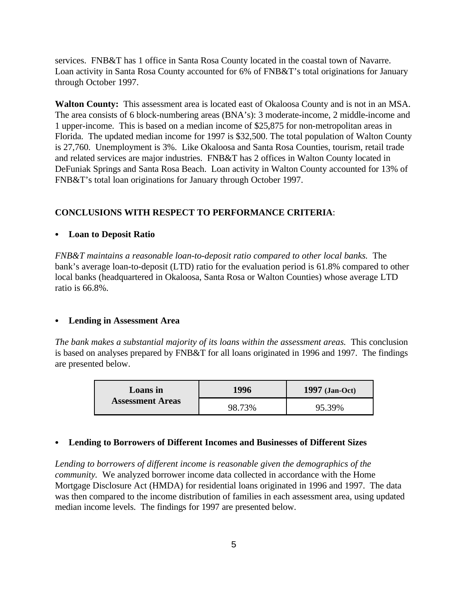services. FNB&T has 1 office in Santa Rosa County located in the coastal town of Navarre. Loan activity in Santa Rosa County accounted for 6% of FNB&T's total originations for January through October 1997.

**Walton County:** This assessment area is located east of Okaloosa County and is not in an MSA. The area consists of 6 block-numbering areas (BNA's): 3 moderate-income, 2 middle-income and 1 upper-income. This is based on a median income of \$25,875 for non-metropolitan areas in Florida. The updated median income for 1997 is \$32,500. The total population of Walton County is 27,760. Unemployment is 3%. Like Okaloosa and Santa Rosa Counties, tourism, retail trade and related services are major industries. FNB&T has 2 offices in Walton County located in DeFuniak Springs and Santa Rosa Beach. Loan activity in Walton County accounted for 13% of FNB&T's total loan originations for January through October 1997.

#### **CONCLUSIONS WITH RESPECT TO PERFORMANCE CRITERIA**:

#### • Loan to Deposit Ratio

*FNB&T maintains a reasonable loan-to-deposit ratio compared to other local banks.* The bank's average loan-to-deposit (LTD) ratio for the evaluation period is 61.8% compared to other local banks (headquartered in Okaloosa, Santa Rosa or Walton Counties) whose average LTD ratio is 66.8%.

#### C **Lending in Assessment Area**

*The bank makes a substantial majority of its loans within the assessment areas.* This conclusion is based on analyses prepared by FNB&T for all loans originated in 1996 and 1997. The findings are presented below.

| Loans in                | 1996   | $1997$ (Jan-Oct) |  |  |
|-------------------------|--------|------------------|--|--|
| <b>Assessment Areas</b> | 98.73% | 95.39%           |  |  |

#### **• Lending to Borrowers of Different Incomes and Businesses of Different Sizes**

*Lending to borrowers of different income is reasonable given the demographics of the community.* We analyzed borrower income data collected in accordance with the Home Mortgage Disclosure Act (HMDA) for residential loans originated in 1996 and 1997. The data was then compared to the income distribution of families in each assessment area, using updated median income levels. The findings for 1997 are presented below.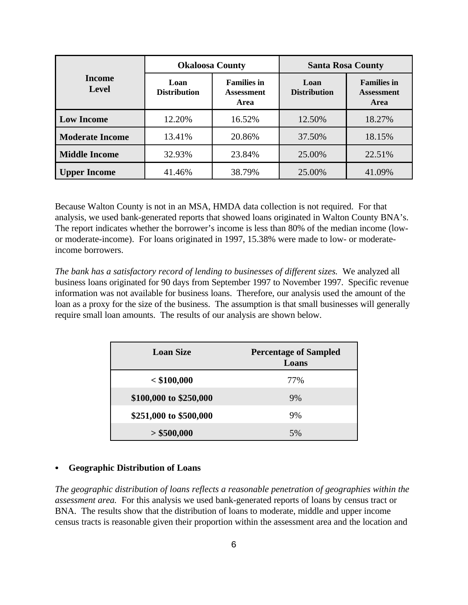|                               |                             | <b>Okaloosa County</b>                          | <b>Santa Rosa County</b>    |                                                        |  |
|-------------------------------|-----------------------------|-------------------------------------------------|-----------------------------|--------------------------------------------------------|--|
| <b>Income</b><br><b>Level</b> | Loan<br><b>Distribution</b> | <b>Families in</b><br><b>Assessment</b><br>Area | Loan<br><b>Distribution</b> | <b>Families in</b><br><b>Assessment</b><br><b>Area</b> |  |
| <b>Low Income</b>             | 12.20%                      | 16.52%                                          | 12.50%                      | 18.27%                                                 |  |
| <b>Moderate Income</b>        | 13.41%                      | 20.86%                                          | 37.50%                      | 18.15%                                                 |  |
| <b>Middle Income</b>          | 32.93%                      | 23.84%                                          | 25.00%                      | 22.51%                                                 |  |
| <b>Upper Income</b>           | 41.46%                      | 38.79%                                          | 25.00%                      | 41.09%                                                 |  |

Because Walton County is not in an MSA, HMDA data collection is not required. For that analysis, we used bank-generated reports that showed loans originated in Walton County BNA's. The report indicates whether the borrower's income is less than 80% of the median income (lowor moderate-income). For loans originated in 1997, 15.38% were made to low- or moderateincome borrowers.

*The bank has a satisfactory record of lending to businesses of different sizes.* We analyzed all business loans originated for 90 days from September 1997 to November 1997. Specific revenue information was not available for business loans. Therefore, our analysis used the amount of the loan as a proxy for the size of the business. The assumption is that small businesses will generally require small loan amounts. The results of our analysis are shown below.

| <b>Loan Size</b>       | <b>Percentage of Sampled</b><br>Loans |  |  |  |
|------------------------|---------------------------------------|--|--|--|
| $<$ \$100,000          | 77%                                   |  |  |  |
| \$100,000 to \$250,000 | 9%                                    |  |  |  |
| \$251,000 to \$500,000 | 9%                                    |  |  |  |
| > \$500,000            | 5%                                    |  |  |  |

#### C **Geographic Distribution of Loans**

*The geographic distribution of loans reflects a reasonable penetration of geographies within the assessment area.* For this analysis we used bank-generated reports of loans by census tract or BNA. The results show that the distribution of loans to moderate, middle and upper income census tracts is reasonable given their proportion within the assessment area and the location and